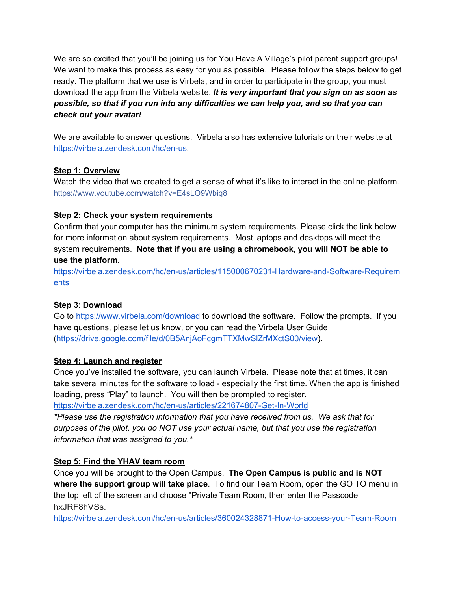We are so excited that you'll be joining us for You Have A Village's pilot parent support groups! We want to make this process as easy for you as possible. Please follow the steps below to get ready. The platform that we use is Virbela, and in order to participate in the group, you must download the app from the Virbela website. *It is very important that you sign on as soon as possible, so that if you run into any difficulties we can help you, and so that you can check out your avatar!*

We are available to answer questions. Virbela also has extensive tutorials on their website at <https://virbela.zendesk.com/hc/en-us>.

### **Step 1: Overview**

Watch the video that we created to get a sense of what it's like to interact in the online platform. [https://www.youtube.com/watch?v=E4sLO9Wbiq8](https://www.youtube.com/watch?v=E4sLO9Wbiq8&fbclid=IwAR24tSph3IUNe0k2e0sMHxmQbrm3kwwLv64YlFQ_E7itIwOGU-KzAD4KsvM)

### **Step 2: Check your system requirements**

Confirm that your computer has the minimum system requirements. Please click the link below for more information about system requirements. Most laptops and desktops will meet the system requirements. **Note that if you are using a chromebook, you will NOT be able to use the platform.**

[https://virbela.zendesk.com/hc/en-us/articles/115000670231-Hardware-and-Software-Requirem](https://virbela.zendesk.com/hc/en-us/articles/115000670231-Hardware-and-Software-Requirements) [ents](https://virbela.zendesk.com/hc/en-us/articles/115000670231-Hardware-and-Software-Requirements)

### **Step 3**: **Download**

Go to <https://www.virbela.com/download> to download the software. Follow the prompts. If you have questions, please let us know, or you can read the Virbela User Guide ([https://drive.google.com/file/d/0B5AnjAoFcgmTTXMwSlZrMXctS00/view\)](https://drive.google.com/file/d/0B5AnjAoFcgmTTXMwSlZrMXctS00/view).

# **Step 4: Launch and register**

Once you've installed the software, you can launch Virbela. Please note that at times, it can take several minutes for the software to load - especially the first time. When the app is finished loading, press "Play" to launch. You will then be prompted to register.

<https://virbela.zendesk.com/hc/en-us/articles/221674807-Get-In-World>

*\*Please use the registration information that you have received from us. We ask that for purposes of the pilot, you do NOT use your actual name, but that you use the registration information that was assigned to you.\**

# **Step 5: Find the YHAV team room**

Once you will be brought to the Open Campus. **The Open Campus is public and is NOT where the support group will take place**. To find our Team Room, open the GO TO menu in the top left of the screen and choose "Private Team Room, then enter the Passcode hxJRF8hVSs.

<https://virbela.zendesk.com/hc/en-us/articles/360024328871-How-to-access-your-Team-Room>